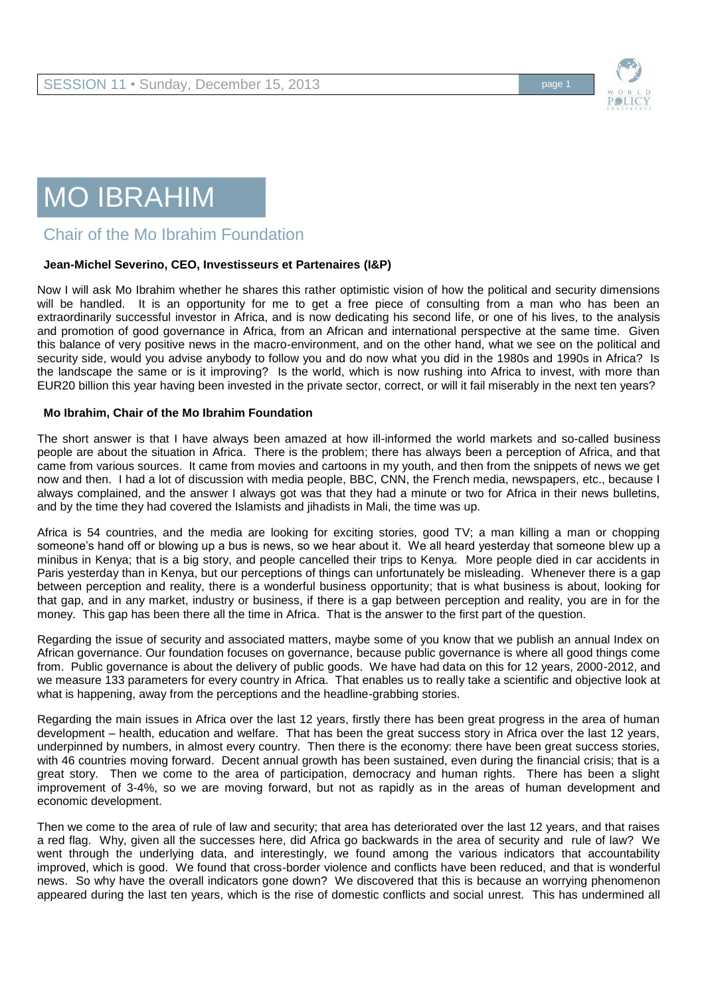

## MO IBRAHIM

Chair of the Mo Ibrahim Foundation

## **Jean-Michel Severino, CEO, Investisseurs et Partenaires (I&P)**

Now I will ask Mo Ibrahim whether he shares this rather optimistic vision of how the political and security dimensions will be handled. It is an opportunity for me to get a free piece of consulting from a man who has been an extraordinarily successful investor in Africa, and is now dedicating his second life, or one of his lives, to the analysis and promotion of good governance in Africa, from an African and international perspective at the same time. Given this balance of very positive news in the macro-environment, and on the other hand, what we see on the political and security side, would you advise anybody to follow you and do now what you did in the 1980s and 1990s in Africa? Is the landscape the same or is it improving? Is the world, which is now rushing into Africa to invest, with more than EUR20 billion this year having been invested in the private sector, correct, or will it fail miserably in the next ten years?

## **Mo Ibrahim, Chair of the Mo Ibrahim Foundation**

The short answer is that I have always been amazed at how ill-informed the world markets and so-called business people are about the situation in Africa. There is the problem; there has always been a perception of Africa, and that came from various sources. It came from movies and cartoons in my youth, and then from the snippets of news we get now and then. I had a lot of discussion with media people, BBC, CNN, the French media, newspapers, etc., because I always complained, and the answer I always got was that they had a minute or two for Africa in their news bulletins, and by the time they had covered the Islamists and jihadists in Mali, the time was up.

Africa is 54 countries, and the media are looking for exciting stories, good TV; a man killing a man or chopping someone's hand off or blowing up a bus is news, so we hear about it. We all heard yesterday that someone blew up a minibus in Kenya; that is a big story, and people cancelled their trips to Kenya. More people died in car accidents in Paris yesterday than in Kenya, but our perceptions of things can unfortunately be misleading. Whenever there is a gap between perception and reality, there is a wonderful business opportunity; that is what business is about, looking for that gap, and in any market, industry or business, if there is a gap between perception and reality, you are in for the money. This gap has been there all the time in Africa. That is the answer to the first part of the question.

Regarding the issue of security and associated matters, maybe some of you know that we publish an annual Index on African governance. Our foundation focuses on governance, because public governance is where all good things come from. Public governance is about the delivery of public goods. We have had data on this for 12 years, 2000-2012, and we measure 133 parameters for every country in Africa. That enables us to really take a scientific and objective look at what is happening, away from the perceptions and the headline-grabbing stories.

Regarding the main issues in Africa over the last 12 years, firstly there has been great progress in the area of human development – health, education and welfare. That has been the great success story in Africa over the last 12 years, underpinned by numbers, in almost every country. Then there is the economy: there have been great success stories, with 46 countries moving forward. Decent annual growth has been sustained, even during the financial crisis; that is a great story. Then we come to the area of participation, democracy and human rights. There has been a slight improvement of 3-4%, so we are moving forward, but not as rapidly as in the areas of human development and economic development.

Then we come to the area of rule of law and security; that area has deteriorated over the last 12 years, and that raises a red flag. Why, given all the successes here, did Africa go backwards in the area of security and rule of law? We went through the underlying data, and interestingly, we found among the various indicators that accountability improved, which is good. We found that cross-border violence and conflicts have been reduced, and that is wonderful news. So why have the overall indicators gone down? We discovered that this is because an worrying phenomenon appeared during the last ten years, which is the rise of domestic conflicts and social unrest. This has undermined all